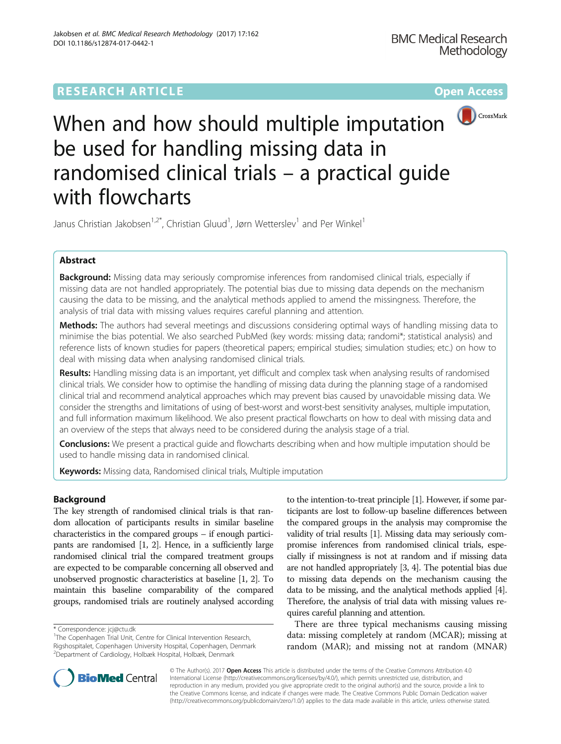# **RESEARCH ARTICLE Example 2014 12:30 The Contract of Contract ACCESS**



# When and how should multiple imputation be used for handling missing data in randomised clinical trials – a practical guide with flowcharts

Janus Christian Jakobsen $^{1,2^*}$ , Christian Gluud $^1$ , Jørn Wetterslev $^1$  and Per Winkel $^1$ 

# Abstract

Background: Missing data may seriously compromise inferences from randomised clinical trials, especially if missing data are not handled appropriately. The potential bias due to missing data depends on the mechanism causing the data to be missing, and the analytical methods applied to amend the missingness. Therefore, the analysis of trial data with missing values requires careful planning and attention.

Methods: The authors had several meetings and discussions considering optimal ways of handling missing data to minimise the bias potential. We also searched PubMed (key words: missing data; randomi\*; statistical analysis) and reference lists of known studies for papers (theoretical papers; empirical studies; simulation studies; etc.) on how to deal with missing data when analysing randomised clinical trials.

Results: Handling missing data is an important, yet difficult and complex task when analysing results of randomised clinical trials. We consider how to optimise the handling of missing data during the planning stage of a randomised clinical trial and recommend analytical approaches which may prevent bias caused by unavoidable missing data. We consider the strengths and limitations of using of best-worst and worst-best sensitivity analyses, multiple imputation, and full information maximum likelihood. We also present practical flowcharts on how to deal with missing data and an overview of the steps that always need to be considered during the analysis stage of a trial.

**Conclusions:** We present a practical guide and flowcharts describing when and how multiple imputation should be used to handle missing data in randomised clinical.

Keywords: Missing data, Randomised clinical trials, Multiple imputation

# Background

The key strength of randomised clinical trials is that random allocation of participants results in similar baseline characteristics in the compared groups – if enough participants are randomised [[1](#page-9-0), [2\]](#page-9-0). Hence, in a sufficiently large randomised clinical trial the compared treatment groups are expected to be comparable concerning all observed and unobserved prognostic characteristics at baseline [\[1, 2\]](#page-9-0). To maintain this baseline comparability of the compared groups, randomised trials are routinely analysed according

to the intention-to-treat principle [\[1](#page-9-0)]. However, if some participants are lost to follow-up baseline differences between the compared groups in the analysis may compromise the validity of trial results [\[1\]](#page-9-0). Missing data may seriously compromise inferences from randomised clinical trials, especially if missingness is not at random and if missing data are not handled appropriately [[3](#page-9-0), [4\]](#page-9-0). The potential bias due to missing data depends on the mechanism causing the data to be missing, and the analytical methods applied [[4](#page-9-0)]. Therefore, the analysis of trial data with missing values requires careful planning and attention.

There are three typical mechanisms causing missing data: missing completely at random (MCAR); missing at random (MAR); and missing not at random (MNAR)



© The Author(s). 2017 **Open Access** This article is distributed under the terms of the Creative Commons Attribution 4.0 International License [\(http://creativecommons.org/licenses/by/4.0/](http://creativecommons.org/licenses/by/4.0/)), which permits unrestricted use, distribution, and reproduction in any medium, provided you give appropriate credit to the original author(s) and the source, provide a link to the Creative Commons license, and indicate if changes were made. The Creative Commons Public Domain Dedication waiver [\(http://creativecommons.org/publicdomain/zero/1.0/](http://creativecommons.org/publicdomain/zero/1.0/)) applies to the data made available in this article, unless otherwise stated.

<sup>\*</sup> Correspondence: [jcj@ctu.dk](mailto:jcj@ctu.dk) <sup>1</sup>

<sup>&</sup>lt;sup>1</sup>The Copenhagen Trial Unit, Centre for Clinical Intervention Research, Rigshospitalet, Copenhagen University Hospital, Copenhagen, Denmark 2 Department of Cardiology, Holbæk Hospital, Holbæk, Denmark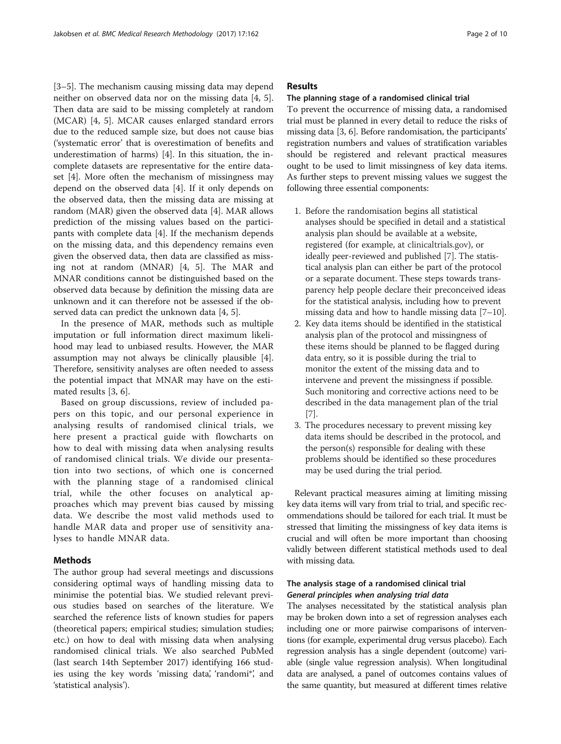[[3](#page-9-0)–[5\]](#page-9-0). The mechanism causing missing data may depend neither on observed data nor on the missing data [[4, 5](#page-9-0)]. Then data are said to be missing completely at random (MCAR) [\[4](#page-9-0), [5](#page-9-0)]. MCAR causes enlarged standard errors due to the reduced sample size, but does not cause bias ('systematic error' that is overestimation of benefits and underestimation of harms) [\[4\]](#page-9-0). In this situation, the incomplete datasets are representative for the entire dataset [\[4](#page-9-0)]. More often the mechanism of missingness may depend on the observed data [[4\]](#page-9-0). If it only depends on the observed data, then the missing data are missing at random (MAR) given the observed data [[4\]](#page-9-0). MAR allows prediction of the missing values based on the participants with complete data [[4\]](#page-9-0). If the mechanism depends on the missing data, and this dependency remains even given the observed data, then data are classified as missing not at random (MNAR) [[4, 5](#page-9-0)]. The MAR and MNAR conditions cannot be distinguished based on the observed data because by definition the missing data are unknown and it can therefore not be assessed if the observed data can predict the unknown data [\[4](#page-9-0), [5](#page-9-0)].

In the presence of MAR, methods such as multiple imputation or full information direct maximum likelihood may lead to unbiased results. However, the MAR assumption may not always be clinically plausible [\[4](#page-9-0)]. Therefore, sensitivity analyses are often needed to assess the potential impact that MNAR may have on the estimated results [[3, 6\]](#page-9-0).

Based on group discussions, review of included papers on this topic, and our personal experience in analysing results of randomised clinical trials, we here present a practical guide with flowcharts on how to deal with missing data when analysing results of randomised clinical trials. We divide our presentation into two sections, of which one is concerned with the planning stage of a randomised clinical trial, while the other focuses on analytical approaches which may prevent bias caused by missing data. We describe the most valid methods used to handle MAR data and proper use of sensitivity analyses to handle MNAR data.

# Methods

The author group had several meetings and discussions considering optimal ways of handling missing data to minimise the potential bias. We studied relevant previous studies based on searches of the literature. We searched the reference lists of known studies for papers (theoretical papers; empirical studies; simulation studies; etc.) on how to deal with missing data when analysing randomised clinical trials. We also searched PubMed (last search 14th September 2017) identifying 166 studies using the key words 'missing data', 'randomi\*', and 'statistical analysis').

# Results

## The planning stage of a randomised clinical trial

To prevent the occurrence of missing data, a randomised trial must be planned in every detail to reduce the risks of missing data [[3](#page-9-0), [6](#page-9-0)]. Before randomisation, the participants' registration numbers and values of stratification variables should be registered and relevant practical measures ought to be used to limit missingness of key data items. As further steps to prevent missing values we suggest the following three essential components:

- 1. Before the randomisation begins all statistical analyses should be specified in detail and a statistical analysis plan should be available at a website, registered (for example, at [clinicaltrials.gov](http://clinicaltrials.gov)), or ideally peer-reviewed and published [[7](#page-9-0)]. The statistical analysis plan can either be part of the protocol or a separate document. These steps towards transparency help people declare their preconceived ideas for the statistical analysis, including how to prevent missing data and how to handle missing data [\[7](#page-9-0)–[10\]](#page-9-0).
- 2. Key data items should be identified in the statistical analysis plan of the protocol and missingness of these items should be planned to be flagged during data entry, so it is possible during the trial to monitor the extent of the missing data and to intervene and prevent the missingness if possible. Such monitoring and corrective actions need to be described in the data management plan of the trial [[7](#page-9-0)].
- 3. The procedures necessary to prevent missing key data items should be described in the protocol, and the person(s) responsible for dealing with these problems should be identified so these procedures may be used during the trial period.

Relevant practical measures aiming at limiting missing key data items will vary from trial to trial, and specific recommendations should be tailored for each trial. It must be stressed that limiting the missingness of key data items is crucial and will often be more important than choosing validly between different statistical methods used to deal with missing data.

# The analysis stage of a randomised clinical trial General principles when analysing trial data

The analyses necessitated by the statistical analysis plan may be broken down into a set of regression analyses each including one or more pairwise comparisons of interventions (for example, experimental drug versus placebo). Each regression analysis has a single dependent (outcome) variable (single value regression analysis). When longitudinal data are analysed, a panel of outcomes contains values of the same quantity, but measured at different times relative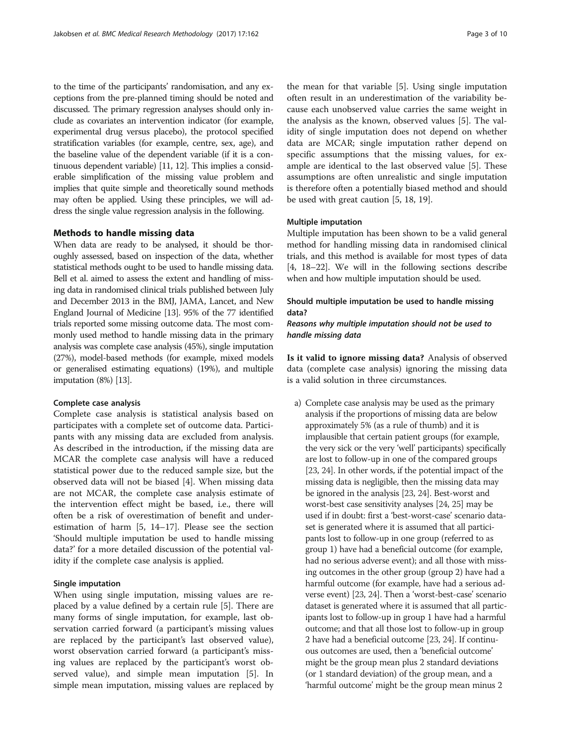to the time of the participants' randomisation, and any exceptions from the pre-planned timing should be noted and discussed. The primary regression analyses should only include as covariates an intervention indicator (for example, experimental drug versus placebo), the protocol specified stratification variables (for example, centre, sex, age), and the baseline value of the dependent variable (if it is a continuous dependent variable) [\[11](#page-9-0), [12\]](#page-9-0). This implies a considerable simplification of the missing value problem and implies that quite simple and theoretically sound methods may often be applied. Using these principles, we will address the single value regression analysis in the following.

# Methods to handle missing data

When data are ready to be analysed, it should be thoroughly assessed, based on inspection of the data, whether statistical methods ought to be used to handle missing data. Bell et al. aimed to assess the extent and handling of missing data in randomised clinical trials published between July and December 2013 in the BMJ, JAMA, Lancet, and New England Journal of Medicine [\[13\]](#page-9-0). 95% of the 77 identified trials reported some missing outcome data. The most commonly used method to handle missing data in the primary analysis was complete case analysis (45%), single imputation (27%), model-based methods (for example, mixed models or generalised estimating equations) (19%), and multiple imputation (8%) [[13\]](#page-9-0).

## Complete case analysis

Complete case analysis is statistical analysis based on participates with a complete set of outcome data. Participants with any missing data are excluded from analysis. As described in the introduction, if the missing data are MCAR the complete case analysis will have a reduced statistical power due to the reduced sample size, but the observed data will not be biased [[4\]](#page-9-0). When missing data are not MCAR, the complete case analysis estimate of the intervention effect might be based, i.e., there will often be a risk of overestimation of benefit and underestimation of harm [[5, 14](#page-9-0)–[17](#page-9-0)]. Please see the section 'Should multiple imputation be used to handle missing data?' for a more detailed discussion of the potential validity if the complete case analysis is applied.

# Single imputation

When using single imputation, missing values are replaced by a value defined by a certain rule [\[5](#page-9-0)]. There are many forms of single imputation, for example, last observation carried forward (a participant's missing values are replaced by the participant's last observed value), worst observation carried forward (a participant's missing values are replaced by the participant's worst observed value), and simple mean imputation [[5](#page-9-0)]. In simple mean imputation, missing values are replaced by

the mean for that variable [[5\]](#page-9-0). Using single imputation often result in an underestimation of the variability because each unobserved value carries the same weight in the analysis as the known, observed values [[5\]](#page-9-0). The validity of single imputation does not depend on whether data are MCAR; single imputation rather depend on specific assumptions that the missing values, for example are identical to the last observed value [[5](#page-9-0)]. These assumptions are often unrealistic and single imputation is therefore often a potentially biased method and should be used with great caution [\[5](#page-9-0), [18](#page-9-0), [19](#page-9-0)].

# Multiple imputation

Multiple imputation has been shown to be a valid general method for handling missing data in randomised clinical trials, and this method is available for most types of data [[4, 18](#page-9-0)–[22](#page-9-0)]. We will in the following sections describe when and how multiple imputation should be used.

# Should multiple imputation be used to handle missing data?

# Reasons why multiple imputation should not be used to handle missing data

Is it valid to ignore missing data? Analysis of observed data (complete case analysis) ignoring the missing data is a valid solution in three circumstances.

a) Complete case analysis may be used as the primary analysis if the proportions of missing data are below approximately 5% (as a rule of thumb) and it is implausible that certain patient groups (for example, the very sick or the very 'well' participants) specifically are lost to follow-up in one of the compared groups [\[23,](#page-9-0) [24\]](#page-9-0). In other words, if the potential impact of the missing data is negligible, then the missing data may be ignored in the analysis [[23](#page-9-0), [24](#page-9-0)]. Best-worst and worst-best case sensitivity analyses [[24](#page-9-0), [25](#page-9-0)] may be used if in doubt: first a 'best-worst-case' scenario dataset is generated where it is assumed that all participants lost to follow-up in one group (referred to as group 1) have had a beneficial outcome (for example, had no serious adverse event); and all those with missing outcomes in the other group (group 2) have had a harmful outcome (for example, have had a serious adverse event) [[23](#page-9-0), [24](#page-9-0)]. Then a 'worst-best-case' scenario dataset is generated where it is assumed that all participants lost to follow-up in group 1 have had a harmful outcome; and that all those lost to follow-up in group 2 have had a beneficial outcome [\[23,](#page-9-0) [24\]](#page-9-0). If continuous outcomes are used, then a 'beneficial outcome' might be the group mean plus 2 standard deviations (or 1 standard deviation) of the group mean, and a 'harmful outcome' might be the group mean minus 2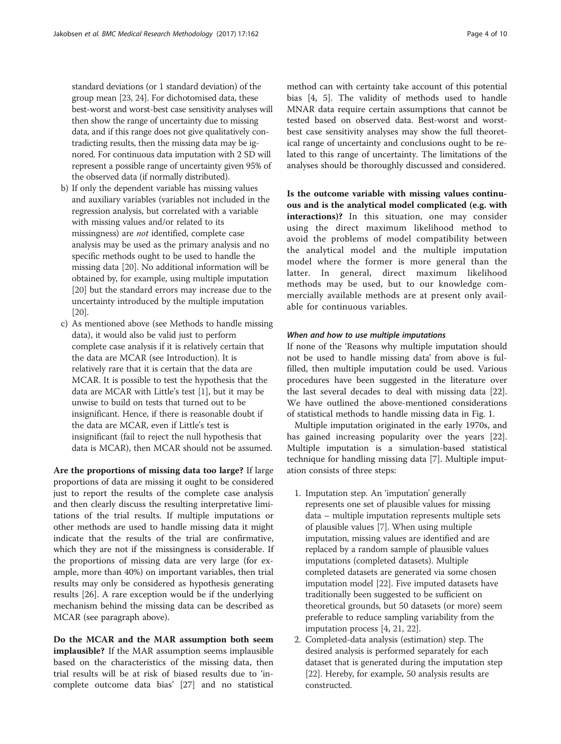standard deviations (or 1 standard deviation) of the group mean [\[23,](#page-9-0) [24](#page-9-0)]. For dichotomised data, these best-worst and worst-best case sensitivity analyses will then show the range of uncertainty due to missing data, and if this range does not give qualitatively contradicting results, then the missing data may be ignored. For continuous data imputation with 2 SD will represent a possible range of uncertainty given 95% of the observed data (if normally distributed).

- b) If only the dependent variable has missing values and auxiliary variables (variables not included in the regression analysis, but correlated with a variable with missing values and/or related to its missingness) are not identified, complete case analysis may be used as the primary analysis and no specific methods ought to be used to handle the missing data [\[20](#page-9-0)]. No additional information will be obtained by, for example, using multiple imputation [\[20](#page-9-0)] but the standard errors may increase due to the uncertainty introduced by the multiple imputation [\[20](#page-9-0)].
- c) As mentioned above (see Methods to handle missing data), it would also be valid just to perform complete case analysis if it is relatively certain that the data are MCAR (see Introduction). It is relatively rare that it is certain that the data are MCAR. It is possible to test the hypothesis that the data are MCAR with Little's test [\[1](#page-9-0)], but it may be unwise to build on tests that turned out to be insignificant. Hence, if there is reasonable doubt if the data are MCAR, even if Little's test is insignificant (fail to reject the null hypothesis that data is MCAR), then MCAR should not be assumed.

Are the proportions of missing data too large? If large proportions of data are missing it ought to be considered just to report the results of the complete case analysis and then clearly discuss the resulting interpretative limitations of the trial results. If multiple imputations or other methods are used to handle missing data it might indicate that the results of the trial are confirmative, which they are not if the missingness is considerable. If the proportions of missing data are very large (for example, more than 40%) on important variables, then trial results may only be considered as hypothesis generating results [[26\]](#page-9-0). A rare exception would be if the underlying mechanism behind the missing data can be described as MCAR (see paragraph above).

Do the MCAR and the MAR assumption both seem implausible? If the MAR assumption seems implausible based on the characteristics of the missing data, then trial results will be at risk of biased results due to 'incomplete outcome data bias' [\[27](#page-9-0)] and no statistical

method can with certainty take account of this potential bias [[4, 5\]](#page-9-0). The validity of methods used to handle MNAR data require certain assumptions that cannot be tested based on observed data. Best-worst and worstbest case sensitivity analyses may show the full theoretical range of uncertainty and conclusions ought to be related to this range of uncertainty. The limitations of the analyses should be thoroughly discussed and considered.

Is the outcome variable with missing values continuous and is the analytical model complicated (e.g. with interactions)? In this situation, one may consider using the direct maximum likelihood method to avoid the problems of model compatibility between the analytical model and the multiple imputation model where the former is more general than the latter. In general, direct maximum likelihood methods may be used, but to our knowledge commercially available methods are at present only available for continuous variables.

# When and how to use multiple imputations

If none of the 'Reasons why multiple imputation should not be used to handle missing data' from above is fulfilled, then multiple imputation could be used. Various procedures have been suggested in the literature over the last several decades to deal with missing data [\[22](#page-9-0)]. We have outlined the above-mentioned considerations of statistical methods to handle missing data in Fig. [1](#page-4-0).

Multiple imputation originated in the early 1970s, and has gained increasing popularity over the years [\[22](#page-9-0)]. Multiple imputation is a simulation-based statistical technique for handling missing data [\[7](#page-9-0)]. Multiple imputation consists of three steps:

- 1. Imputation step. An 'imputation' generally represents one set of plausible values for missing data – multiple imputation represents multiple sets of plausible values [[7](#page-9-0)]. When using multiple imputation, missing values are identified and are replaced by a random sample of plausible values imputations (completed datasets). Multiple completed datasets are generated via some chosen imputation model [[22](#page-9-0)]. Five imputed datasets have traditionally been suggested to be sufficient on theoretical grounds, but 50 datasets (or more) seem preferable to reduce sampling variability from the imputation process [[4](#page-9-0), [21](#page-9-0), [22\]](#page-9-0).
- 2. Completed-data analysis (estimation) step. The desired analysis is performed separately for each dataset that is generated during the imputation step [[22](#page-9-0)]. Hereby, for example, 50 analysis results are constructed.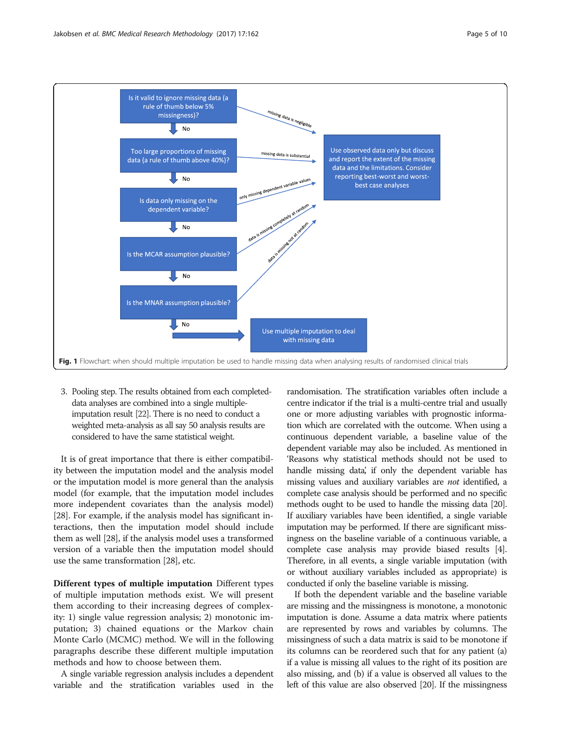

<span id="page-4-0"></span>

3. Pooling step. The results obtained from each completeddata analyses are combined into a single multipleimputation result [\[22](#page-9-0)]. There is no need to conduct a weighted meta-analysis as all say 50 analysis results are considered to have the same statistical weight.

It is of great importance that there is either compatibility between the imputation model and the analysis model or the imputation model is more general than the analysis model (for example, that the imputation model includes more independent covariates than the analysis model) [[28](#page-9-0)]. For example, if the analysis model has significant interactions, then the imputation model should include them as well [[28](#page-9-0)], if the analysis model uses a transformed version of a variable then the imputation model should use the same transformation [\[28\]](#page-9-0), etc.

Different types of multiple imputation Different types of multiple imputation methods exist. We will present them according to their increasing degrees of complexity: 1) single value regression analysis; 2) monotonic imputation; 3) chained equations or the Markov chain Monte Carlo (MCMC) method. We will in the following paragraphs describe these different multiple imputation methods and how to choose between them.

A single variable regression analysis includes a dependent variable and the stratification variables used in the

randomisation. The stratification variables often include a centre indicator if the trial is a multi-centre trial and usually one or more adjusting variables with prognostic information which are correlated with the outcome. When using a continuous dependent variable, a baseline value of the dependent variable may also be included. As mentioned in 'Reasons why statistical methods should not be used to handle missing data', if only the dependent variable has missing values and auxiliary variables are not identified, a complete case analysis should be performed and no specific methods ought to be used to handle the missing data [\[20](#page-9-0)]. If auxiliary variables have been identified, a single variable imputation may be performed. If there are significant missingness on the baseline variable of a continuous variable, a complete case analysis may provide biased results [[4](#page-9-0)]. Therefore, in all events, a single variable imputation (with or without auxiliary variables included as appropriate) is conducted if only the baseline variable is missing.

If both the dependent variable and the baseline variable are missing and the missingness is monotone, a monotonic imputation is done. Assume a data matrix where patients are represented by rows and variables by columns. The missingness of such a data matrix is said to be monotone if its columns can be reordered such that for any patient (a) if a value is missing all values to the right of its position are also missing, and (b) if a value is observed all values to the left of this value are also observed [[20](#page-9-0)]. If the missingness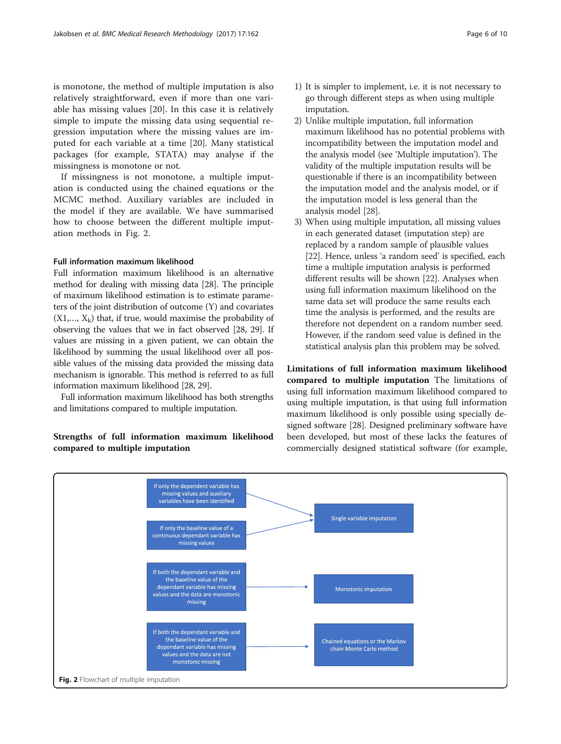is monotone, the method of multiple imputation is also relatively straightforward, even if more than one variable has missing values [\[20](#page-9-0)]. In this case it is relatively simple to impute the missing data using sequential regression imputation where the missing values are imputed for each variable at a time [[20\]](#page-9-0). Many statistical packages (for example, STATA) may analyse if the missingness is monotone or not.

If missingness is not monotone, a multiple imputation is conducted using the chained equations or the MCMC method. Auxiliary variables are included in the model if they are available. We have summarised how to choose between the different multiple imputation methods in Fig. 2.

# Full information maximum likelihood

Full information maximum likelihood is an alternative method for dealing with missing data [\[28\]](#page-9-0). The principle of maximum likelihood estimation is to estimate parameters of the joint distribution of outcome (Y) and covariates  $(X1,..., X_k)$  that, if true, would maximise the probability of observing the values that we in fact observed [[28](#page-9-0), [29\]](#page-9-0). If values are missing in a given patient, we can obtain the likelihood by summing the usual likelihood over all possible values of the missing data provided the missing data mechanism is ignorable. This method is referred to as full information maximum likelihood [[28](#page-9-0), [29\]](#page-9-0).

Full information maximum likelihood has both strengths and limitations compared to multiple imputation.

# Strengths of full information maximum likelihood compared to multiple imputation

- 1) It is simpler to implement, i.e. it is not necessary to go through different steps as when using multiple imputation.
- 2) Unlike multiple imputation, full information maximum likelihood has no potential problems with incompatibility between the imputation model and the analysis model (see 'Multiple imputation'). The validity of the multiple imputation results will be questionable if there is an incompatibility between the imputation model and the analysis model, or if the imputation model is less general than the analysis model [[28\]](#page-9-0).
- 3) When using multiple imputation, all missing values in each generated dataset (imputation step) are replaced by a random sample of plausible values [[22](#page-9-0)]. Hence, unless 'a random seed' is specified, each time a multiple imputation analysis is performed different results will be shown [[22\]](#page-9-0). Analyses when using full information maximum likelihood on the same data set will produce the same results each time the analysis is performed, and the results are therefore not dependent on a random number seed. However, if the random seed value is defined in the statistical analysis plan this problem may be solved.

Limitations of full information maximum likelihood compared to multiple imputation The limitations of using full information maximum likelihood compared to using multiple imputation, is that using full information maximum likelihood is only possible using specially designed software [\[28\]](#page-9-0). Designed preliminary software have been developed, but most of these lacks the features of commercially designed statistical software (for example,

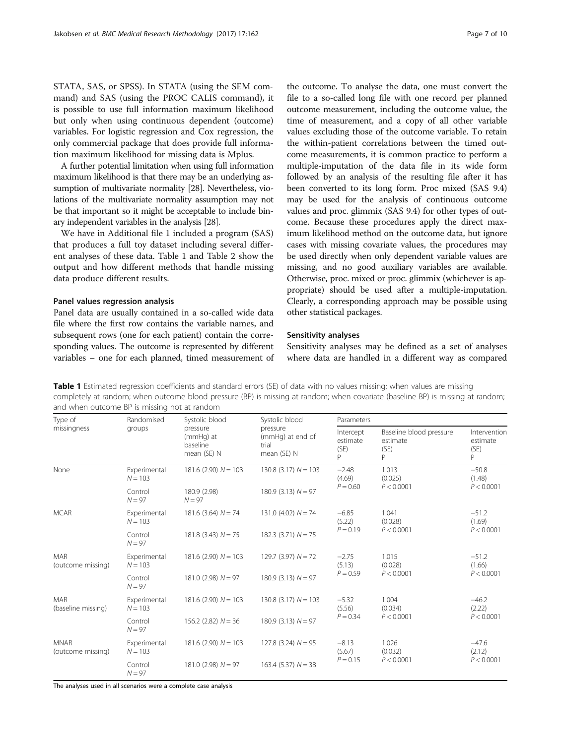STATA, SAS, or SPSS). In STATA (using the SEM command) and SAS (using the PROC CALIS command), it is possible to use full information maximum likelihood but only when using continuous dependent (outcome) variables. For logistic regression and Cox regression, the only commercial package that does provide full information maximum likelihood for missing data is Mplus.

A further potential limitation when using full information maximum likelihood is that there may be an underlying assumption of multivariate normality [\[28\]](#page-9-0). Nevertheless, violations of the multivariate normality assumption may not be that important so it might be acceptable to include binary independent variables in the analysis [[28\]](#page-9-0).

We have in Additional file [1](#page-8-0) included a program (SAS) that produces a full toy dataset including several different analyses of these data. Table 1 and Table [2](#page-7-0) show the output and how different methods that handle missing data produce different results.

# Panel values regression analysis

Panel data are usually contained in a so-called wide data file where the first row contains the variable names, and subsequent rows (one for each patient) contain the corresponding values. The outcome is represented by different variables – one for each planned, timed measurement of

the outcome. To analyse the data, one must convert the file to a so-called long file with one record per planned outcome measurement, including the outcome value, the time of measurement, and a copy of all other variable values excluding those of the outcome variable. To retain the within-patient correlations between the timed outcome measurements, it is common practice to perform a multiple-imputation of the data file in its wide form followed by an analysis of the resulting file after it has been converted to its long form. Proc mixed (SAS 9.4) may be used for the analysis of continuous outcome values and proc. glimmix (SAS 9.4) for other types of outcome. Because these procedures apply the direct maximum likelihood method on the outcome data, but ignore cases with missing covariate values, the procedures may be used directly when only dependent variable values are missing, and no good auxiliary variables are available. Otherwise, proc. mixed or proc. glimmix (whichever is appropriate) should be used after a multiple-imputation. Clearly, a corresponding approach may be possible using other statistical packages.

# Sensitivity analyses

Sensitivity analyses may be defined as a set of analyses where data are handled in a different way as compared

**Table 1** Estimated regression coefficients and standard errors (SE) of data with no values missing; when values are missing completely at random; when outcome blood pressure (BP) is missing at random; when covariate (baseline BP) is missing at random; and when outcome BP is missing not at random

| Type of<br>missingness           | Randomised<br>groups      | Systolic blood<br>pressure<br>(mmHg) at<br>baseline<br>mean (SE) N | Systolic blood<br>pressure<br>(mmHg) at end of<br>trial<br>mean (SE) N | Parameters                         |                                                  |                                       |
|----------------------------------|---------------------------|--------------------------------------------------------------------|------------------------------------------------------------------------|------------------------------------|--------------------------------------------------|---------------------------------------|
|                                  |                           |                                                                    |                                                                        | Intercept<br>estimate<br>(SE)<br>Þ | Baseline blood pressure<br>estimate<br>(SE)<br>Ρ | Intervention<br>estimate<br>(SE)<br>P |
| None                             | Experimental<br>$N = 103$ | $181.6$ (2.90) $N = 103$                                           | $130.8$ (3.17) $N = 103$                                               | $-2.48$<br>(4.69)<br>$P = 0.60$    | 1.013<br>(0.025)<br>P < 0.0001                   | $-50.8$<br>(1.48)<br>P < 0.0001       |
|                                  | Control<br>$N = 97$       | 180.9 (2.98)<br>$N = 97$                                           | $180.9$ (3.13) $N = 97$                                                |                                    |                                                  |                                       |
| <b>MCAR</b>                      | Experimental<br>$N = 103$ | $181.6$ (3.64) $N = 74$                                            | 131.0 (4.02) $N = 74$                                                  | $-6.85$<br>(5.22)<br>$P = 0.19$    | 1.041<br>(0.028)<br>P < 0.0001                   | $-51.2$<br>(1.69)<br>P < 0.0001       |
|                                  | Control<br>$N = 97$       | $181.8$ (3.43) $N = 75$                                            | $182.3$ (3.71) $N = 75$                                                |                                    |                                                  |                                       |
| <b>MAR</b><br>(outcome missing)  | Experimental<br>$N = 103$ | 181.6 (2.90) $N = 103$                                             | 129.7 (3.97) $N = 72$                                                  | $-2.75$<br>(5.13)<br>$P = 0.59$    | 1.015<br>(0.028)<br>P < 0.0001                   | $-51.2$<br>(1.66)<br>P < 0.0001       |
|                                  | Control<br>$N = 97$       | $181.0$ (2.98) $N = 97$                                            | 180.9 (3.13) $N = 97$                                                  |                                    |                                                  |                                       |
| <b>MAR</b><br>(baseline missing) | Experimental<br>$N = 103$ | $181.6$ (2.90) $N = 103$                                           | $130.8$ (3.17) $N = 103$                                               | $-5.32$<br>(5.56)<br>$P = 0.34$    | 1.004<br>(0.034)<br>P < 0.0001                   | $-46.2$<br>(2.22)<br>P < 0.0001       |
|                                  | Control<br>$N = 97$       | 156.2 (2.82) $N = 36$                                              | $180.9$ (3.13) $N = 97$                                                |                                    |                                                  |                                       |
| <b>MNAR</b><br>(outcome missing) | Experimental<br>$N = 103$ | $181.6$ (2.90) $N = 103$                                           | $127.8$ (3.24) $N = 95$                                                | $-8.13$<br>(5.67)<br>$P = 0.15$    | 1.026<br>(0.032)<br>P < 0.0001                   | $-47.6$<br>(2.12)<br>P < 0.0001       |
|                                  | Control<br>$N = 97$       | $181.0$ (2.98) $N = 97$                                            | $163.4$ (5.37) $N = 38$                                                |                                    |                                                  |                                       |

The analyses used in all scenarios were a complete case analysis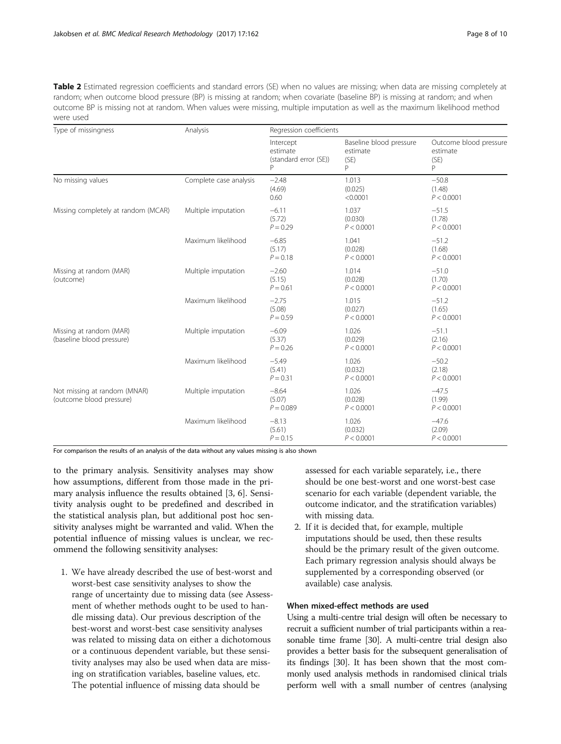<span id="page-7-0"></span>Table 2 Estimated regression coefficients and standard errors (SE) when no values are missing; when data are missing completely at random; when outcome blood pressure (BP) is missing at random; when covariate (baseline BP) is missing at random; and when outcome BP is missing not at random. When values were missing, multiple imputation as well as the maximum likelihood method were used

| Type of missingness                                      | Analysis               | Regression coefficients                             |                                                  |                                                 |  |
|----------------------------------------------------------|------------------------|-----------------------------------------------------|--------------------------------------------------|-------------------------------------------------|--|
|                                                          |                        | Intercept<br>estimate<br>(standard error (SE))<br>P | Baseline blood pressure<br>estimate<br>(SE)<br>P | Outcome blood pressure<br>estimate<br>(SE)<br>P |  |
| No missing values                                        | Complete case analysis | $-2.48$<br>(4.69)<br>0.60                           | 1.013<br>(0.025)<br>< 0.0001                     | $-50.8$<br>(1.48)<br>P < 0.0001                 |  |
| Missing completely at random (MCAR)                      | Multiple imputation    | $-6.11$<br>(5.72)<br>$P = 0.29$                     | 1.037<br>(0.030)<br>P < 0.0001                   | $-51.5$<br>(1.78)<br>P < 0.0001                 |  |
|                                                          | Maximum likelihood     | $-6.85$<br>(5.17)<br>$P = 0.18$                     | 1.041<br>(0.028)<br>P < 0.0001                   | $-51.2$<br>(1.68)<br>P < 0.0001                 |  |
| Missing at random (MAR)<br>(outcome)                     | Multiple imputation    | $-2.60$<br>(5.15)<br>$P = 0.61$                     | 1.014<br>(0.028)<br>P < 0.0001                   | $-51.0$<br>(1.70)<br>P < 0.0001                 |  |
|                                                          | Maximum likelihood     | $-2.75$<br>(5.08)<br>$P = 0.59$                     | 1.015<br>(0.027)<br>P < 0.0001                   | $-51.2$<br>(1.65)<br>P < 0.0001                 |  |
| Missing at random (MAR)<br>(baseline blood pressure)     | Multiple imputation    | $-6.09$<br>(5.37)<br>$P = 0.26$                     | 1.026<br>(0.029)<br>P < 0.0001                   | $-51.1$<br>(2.16)<br>P < 0.0001                 |  |
|                                                          | Maximum likelihood     | $-5.49$<br>(5.41)<br>$P = 0.31$                     | 1.026<br>(0.032)<br>P < 0.0001                   | $-50.2$<br>(2.18)<br>P < 0.0001                 |  |
| Not missing at random (MNAR)<br>(outcome blood pressure) | Multiple imputation    | $-8.64$<br>(5.07)<br>$P = 0.089$                    | 1.026<br>(0.028)<br>P < 0.0001                   | $-47.5$<br>(1.99)<br>P < 0.0001                 |  |
|                                                          | Maximum likelihood     | $-8.13$<br>(5.61)<br>$P = 0.15$                     | 1.026<br>(0.032)<br>P < 0.0001                   | $-47.6$<br>(2.09)<br>P < 0.0001                 |  |

For comparison the results of an analysis of the data without any values missing is also shown

to the primary analysis. Sensitivity analyses may show how assumptions, different from those made in the primary analysis influence the results obtained [\[3](#page-9-0), [6](#page-9-0)]. Sensitivity analysis ought to be predefined and described in the statistical analysis plan, but additional post hoc sensitivity analyses might be warranted and valid. When the potential influence of missing values is unclear, we recommend the following sensitivity analyses:

1. We have already described the use of best-worst and worst-best case sensitivity analyses to show the range of uncertainty due to missing data (see Assessment of whether methods ought to be used to handle missing data). Our previous description of the best-worst and worst-best case sensitivity analyses was related to missing data on either a dichotomous or a continuous dependent variable, but these sensitivity analyses may also be used when data are missing on stratification variables, baseline values, etc. The potential influence of missing data should be

assessed for each variable separately, i.e., there should be one best-worst and one worst-best case scenario for each variable (dependent variable, the outcome indicator, and the stratification variables) with missing data.

2. If it is decided that, for example, multiple imputations should be used, then these results should be the primary result of the given outcome. Each primary regression analysis should always be supplemented by a corresponding observed (or available) case analysis.

# When mixed-effect methods are used

Using a multi-centre trial design will often be necessary to recruit a sufficient number of trial participants within a reasonable time frame [[30](#page-9-0)]. A multi-centre trial design also provides a better basis for the subsequent generalisation of its findings [\[30](#page-9-0)]. It has been shown that the most commonly used analysis methods in randomised clinical trials perform well with a small number of centres (analysing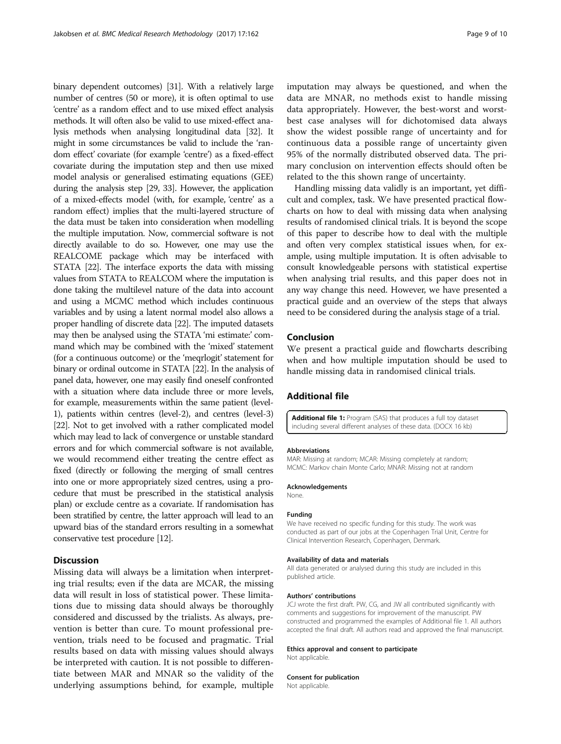<span id="page-8-0"></span>binary dependent outcomes) [\[31](#page-9-0)]. With a relatively large number of centres (50 or more), it is often optimal to use 'centre' as a random effect and to use mixed effect analysis methods. It will often also be valid to use mixed-effect analysis methods when analysing longitudinal data [\[32\]](#page-9-0). It might in some circumstances be valid to include the 'random effect' covariate (for example 'centre') as a fixed-effect covariate during the imputation step and then use mixed model analysis or generalised estimating equations (GEE) during the analysis step [\[29, 33\]](#page-9-0). However, the application of a mixed-effects model (with, for example, 'centre' as a random effect) implies that the multi-layered structure of the data must be taken into consideration when modelling the multiple imputation. Now, commercial software is not directly available to do so. However, one may use the REALCOME package which may be interfaced with STATA [22]. The interface exports the data with missing values from STATA to REALCOM where the imputation is done taking the multilevel nature of the data into account and using a MCMC method which includes continuous variables and by using a latent normal model also allows a proper handling of discrete data [22]. The imputed datasets may then be analysed using the STATA 'mi estimate:' command which may be combined with the 'mixed' statement (for a continuous outcome) or the 'meqrlogit' statement for binary or ordinal outcome in STATA [\[22\]](#page-9-0). In the analysis of panel data, however, one may easily find oneself confronted with a situation where data include three or more levels, for example, measurements within the same patient (level-1), patients within centres (level-2), and centres (level-3) [[22](#page-9-0)]. Not to get involved with a rather complicated model which may lead to lack of convergence or unstable standard errors and for which commercial software is not available, we would recommend either treating the centre effect as fixed (directly or following the merging of small centres into one or more appropriately sized centres, using a procedure that must be prescribed in the statistical analysis plan) or exclude centre as a covariate. If randomisation has been stratified by centre, the latter approach will lead to an upward bias of the standard errors resulting in a somewhat conservative test procedure [\[12\]](#page-9-0).

# **Discussion**

Missing data will always be a limitation when interpreting trial results; even if the data are MCAR, the missing data will result in loss of statistical power. These limitations due to missing data should always be thoroughly considered and discussed by the trialists. As always, prevention is better than cure. To mount professional prevention, trials need to be focused and pragmatic. Trial results based on data with missing values should always be interpreted with caution. It is not possible to differentiate between MAR and MNAR so the validity of the underlying assumptions behind, for example, multiple imputation may always be questioned, and when the data are MNAR, no methods exist to handle missing data appropriately. However, the best-worst and worstbest case analyses will for dichotomised data always show the widest possible range of uncertainty and for continuous data a possible range of uncertainty given 95% of the normally distributed observed data. The primary conclusion on intervention effects should often be related to the this shown range of uncertainty.

Handling missing data validly is an important, yet difficult and complex, task. We have presented practical flowcharts on how to deal with missing data when analysing results of randomised clinical trials. It is beyond the scope of this paper to describe how to deal with the multiple and often very complex statistical issues when, for example, using multiple imputation. It is often advisable to consult knowledgeable persons with statistical expertise when analysing trial results, and this paper does not in any way change this need. However, we have presented a practical guide and an overview of the steps that always need to be considered during the analysis stage of a trial.

# Conclusion

We present a practical guide and flowcharts describing when and how multiple imputation should be used to handle missing data in randomised clinical trials.

# Additional file

[Additional file 1:](dx.doi.org/10.1186/s12874-017-0442-1) Program (SAS) that produces a full toy dataset including several different analyses of these data. (DOCX 16 kb)

#### Abbreviations

MAR: Missing at random; MCAR: Missing completely at random; MCMC: Markov chain Monte Carlo; MNAR: Missing not at random

### Acknowledgements

None.

## Funding

We have received no specific funding for this study. The work was conducted as part of our jobs at the Copenhagen Trial Unit, Centre for Clinical Intervention Research, Copenhagen, Denmark.

### Availability of data and materials

All data generated or analysed during this study are included in this published article.

#### Authors' contributions

JCJ wrote the first draft. PW, CG, and JW all contributed significantly with comments and suggestions for improvement of the manuscript. PW constructed and programmed the examples of Additional file 1. All authors accepted the final draft. All authors read and approved the final manuscript.

### Ethics approval and consent to participate

Not applicable.

## Consent for publication

Not applicable.